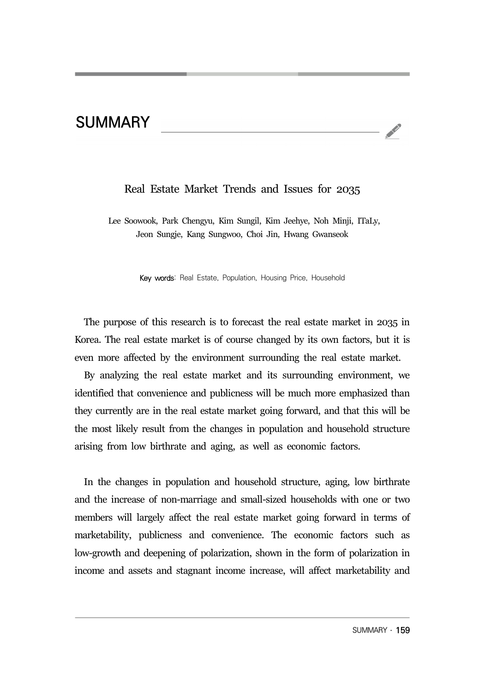## **SUMMARY**

## Real Estate Market Trends and Issues for 2035

 Lee Soowook, Park Chengyu, Kim Sungil, Kim Jeehye, Noh Minji, ITaLy, Jeon Sungje, Kang Sungwoo, Choi Jin, Hwang Gwanseok

Key words: Real Estate, Population, Housing Price, Household

The purpose of this research is to forecast the real estate market in 2035 in Korea. The real estate market is of course changed by its own factors, but it is even more affected by the environment surrounding the real estate market.

By analyzing the real estate market and its surrounding environment, we identified that convenience and publicness will be much more emphasized than they currently are in the real estate market going forward, and that this will be the most likely result from the changes in population and household structure arising from low birthrate and aging, as well as economic factors.

In the changes in population and household structure, aging, low birthrate and the increase of non-marriage and small-sized households with one or two members will largely affect the real estate market going forward in terms of marketability, publicness and convenience. The economic factors such as low-growth and deepening of polarization, shown in the form of polarization in income and assets and stagnant income increase, will affect marketability and